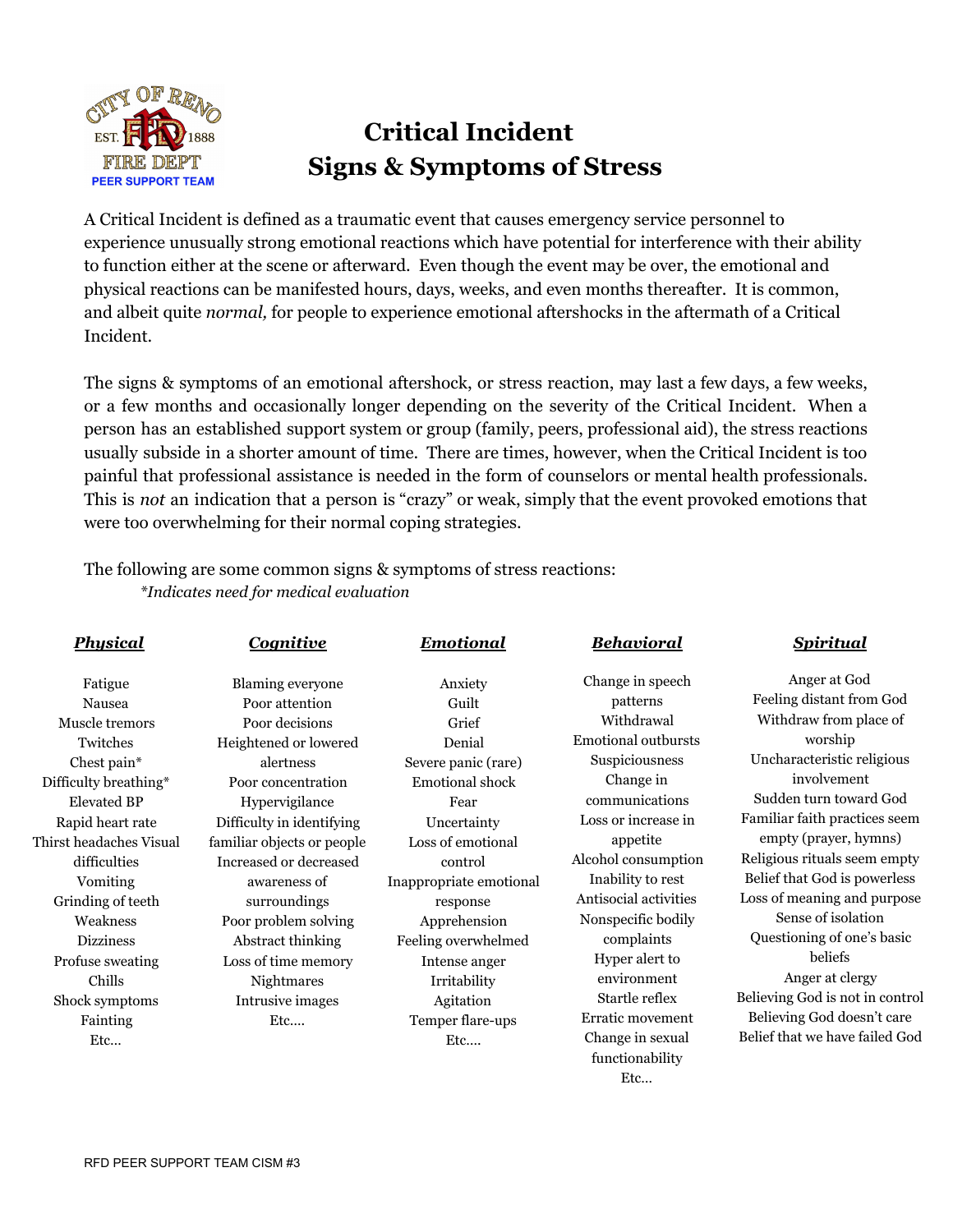

## **Critical Incident Signs & Symptoms of Stress**

A Critical Incident is defined as a traumatic event that causes emergency service personnel to experience unusually strong emotional reactions which have potential for interference with their ability to function either at the scene or afterward. Even though the event may be over, the emotional and physical reactions can be manifested hours, days, weeks, and even months thereafter. It is common, and albeit quite *normal,* for people to experience emotional aftershocks in the aftermath of a Critical Incident.

The signs & symptoms of an emotional aftershock, or stress reaction, may last a few days, a few weeks, or a few months and occasionally longer depending on the severity of the Critical Incident. When a person has an established support system or group (family, peers, professional aid), the stress reactions usually subside in a shorter amount of time. There are times, however, when the Critical Incident is too painful that professional assistance is needed in the form of counselors or mental health professionals. This is *not* an indication that a person is "crazy" or weak, simply that the event provoked emotions that were too overwhelming for their normal coping strategies.

The following are some common signs & symptoms of stress reactions: *\*Indicates need for medical evaluation*

| <b>Physical</b>         | <b>Cognitive</b>           | <b>Emotional</b>        | <b>Behavioral</b>          | <b>Spiritual</b>                |
|-------------------------|----------------------------|-------------------------|----------------------------|---------------------------------|
| Fatigue                 | Blaming everyone           | Anxiety                 | Change in speech           | Anger at God                    |
| Nausea                  | Poor attention             | Guilt                   | patterns                   | Feeling distant from God        |
| Muscle tremors          | Poor decisions             | Grief                   | Withdrawal                 | Withdraw from place of          |
| Twitches                | Heightened or lowered      | Denial                  | <b>Emotional outbursts</b> | worship                         |
| Chest pain*             | alertness                  | Severe panic (rare)     | Suspiciousness             | Uncharacteristic religious      |
| Difficulty breathing*   | Poor concentration         | Emotional shock         | Change in                  | involvement                     |
| <b>Elevated BP</b>      | Hypervigilance             | Fear                    | communications             | Sudden turn toward God          |
| Rapid heart rate        | Difficulty in identifying  | Uncertainty             | Loss or increase in        | Familiar faith practices seem   |
| Thirst headaches Visual | familiar objects or people | Loss of emotional       | appetite                   | empty (prayer, hymns)           |
| difficulties            | Increased or decreased     | control                 | Alcohol consumption        | Religious rituals seem empty    |
| Vomiting                | awareness of               | Inappropriate emotional | Inability to rest          | Belief that God is powerless    |
| Grinding of teeth       | surroundings               | response                | Antisocial activities      | Loss of meaning and purpose     |
| Weakness                | Poor problem solving       | Apprehension            | Nonspecific bodily         | Sense of isolation              |
| <b>Dizziness</b>        | Abstract thinking          | Feeling overwhelmed     | complaints                 | Questioning of one's basic      |
| Profuse sweating        | Loss of time memory        | Intense anger           | Hyper alert to             | beliefs                         |
| Chills                  | Nightmares                 | Irritability            | environment                | Anger at clergy                 |
| Shock symptoms          | Intrusive images           | Agitation               | Startle reflex             | Believing God is not in control |
| Fainting                | Etc                        | Temper flare-ups        | Erratic movement           | Believing God doesn't care      |
| Etc                     |                            | Etc                     | Change in sexual           | Belief that we have failed God  |
|                         |                            |                         | functionability            |                                 |
|                         |                            |                         | Etc                        |                                 |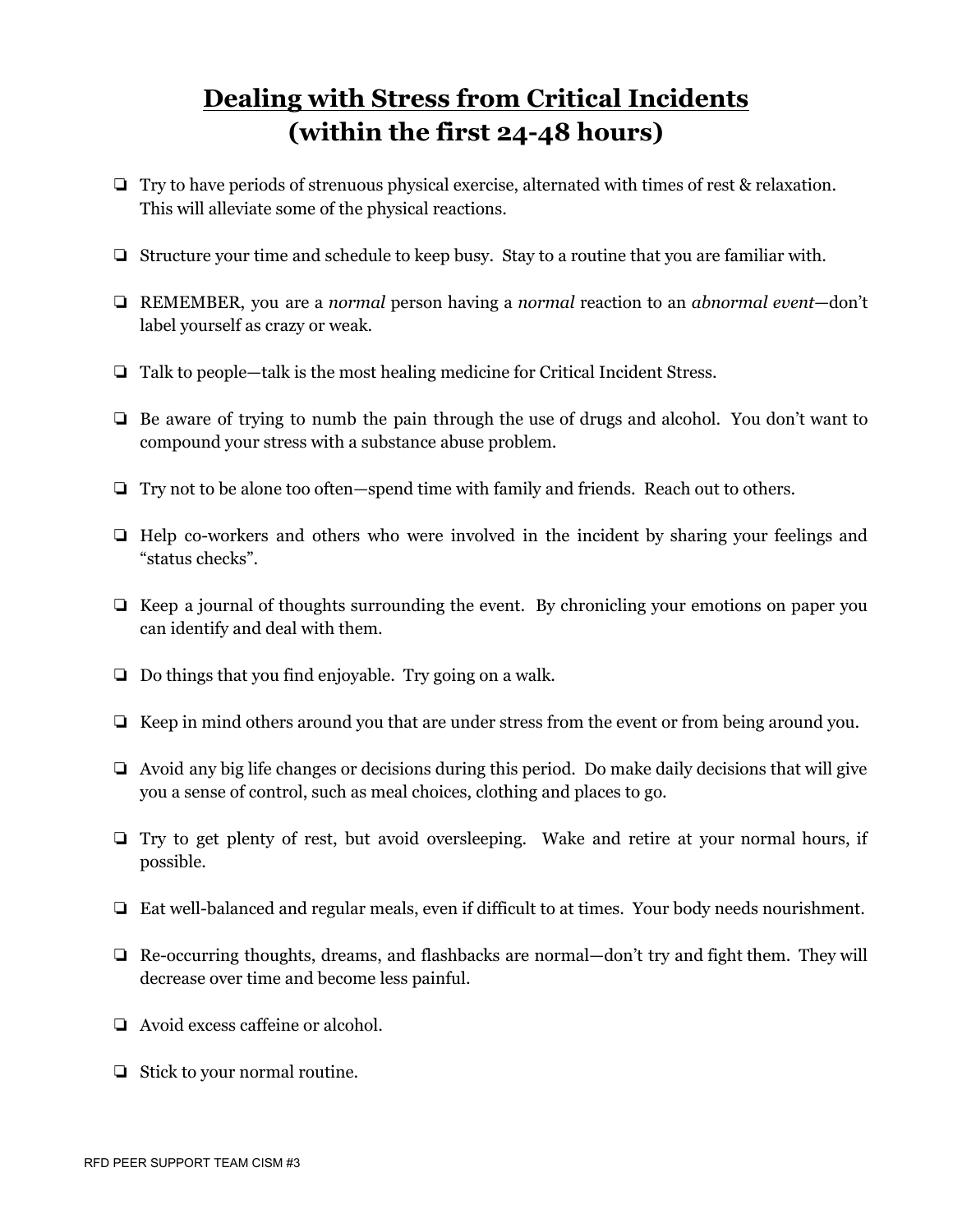## **Dealing with Stress from Critical Incidents (within the first 24-48 hours)**

- ❏ Try to have periods of strenuous physical exercise, alternated with times of rest & relaxation. This will alleviate some of the physical reactions.
- ❏ Structure your time and schedule to keep busy. Stay to a routine that you are familiar with.
- ❏ REMEMBER, you are a *normal* person having a *normal* reaction to an *abnormal event*—don't label yourself as crazy or weak.
- ❏ Talk to people—talk is the most healing medicine for Critical Incident Stress.
- ❏ Be aware of trying to numb the pain through the use of drugs and alcohol. You don't want to compound your stress with a substance abuse problem.
- ❏ Try not to be alone too often—spend time with family and friends. Reach out to others.
- ❏ Help co-workers and others who were involved in the incident by sharing your feelings and "status checks".
- ❏ Keep a journal of thoughts surrounding the event. By chronicling your emotions on paper you can identify and deal with them.
- ❏ Do things that you find enjoyable. Try going on a walk.
- ❏ Keep in mind others around you that are under stress from the event or from being around you.
- ❏ Avoid any big life changes or decisions during this period. Do make daily decisions that will give you a sense of control, such as meal choices, clothing and places to go.
- ❏ Try to get plenty of rest, but avoid oversleeping. Wake and retire at your normal hours, if possible.
- ❏ Eat well-balanced and regular meals, even if difficult to at times. Your body needs nourishment.
- ❏ Re-occurring thoughts, dreams, and flashbacks are normal—don't try and fight them. They will decrease over time and become less painful.
- ❏ Avoid excess caffeine or alcohol.
- ❏ Stick to your normal routine.